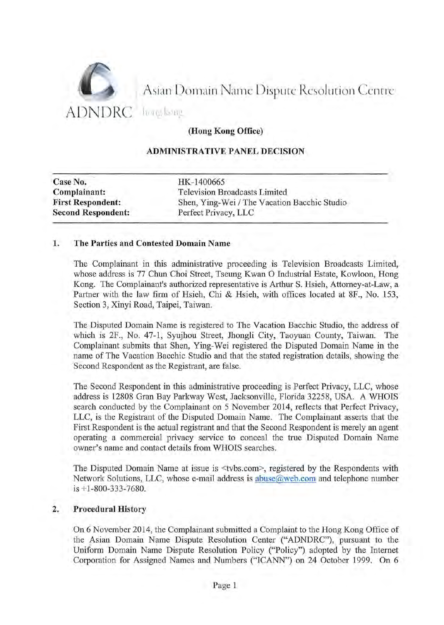

Asian Domain Name Dispute Resolution Centre

(Hong Kong Office)

#### ADMINISTRATIVE PANEL DECISION

| HK-1400665                                   |
|----------------------------------------------|
| <b>Television Broadcasts Limited</b>         |
| Shen, Ying-Wei / The Vacation Bacchic Studio |
| Perfect Privacy, LLC                         |
|                                              |

#### 1. The Parties and Contested Domain Name

The Complainant in this administrative proceeding is Television Broadcasts Limited, whose address is 77 Chun Choi Street, Tseung Kwan 0 Industrial Estate, Kowloon, Hong Kong. The Complainant's authorized representative is Arthur S. Hsieh, Attorney-at-Law, a Partner with the law firm of Hsieh, Chi & Hsieh, with offices located at 8F., No. 153, Section 3, Xinyi Road, Taipei, Taiwan.

The Disputed Domain Name is registered to The Vacation Bacchic Studio, the address of which is 2F., No. 47-1, Syujhou Street, Jhongli City, Taoyuan County, Taiwan. The Complainant submits that Shen, Ying-Wei registered the Disputed Domain Name in the name of The Vacation Bacchic Studio and that the stated registration details, showing the Second Respondent as the Registrant, are false.

The Second Respondent in this administrative proceeding is Perfect Privacy, LLC, whose address is 12808 Gran Bay Parkway West, Jacksonville, Florida 32258, USA. A WHOIS search conducted by the Complainant on 5 November 2014, reflects that Perfect Privacy, LLC, is the Registrant of the Disputed Domain Name. The Complainant asserts that the First Respondent is the actual registrant and that the Second Respondent is merely an agent operating a commercial privacy service to conceal the true Disputed Domain Name owner's name and contact details from WHOIS searches.

The Disputed Domain Name at issue is <tvbs.com>, registered by the Respondents with Network Solutions, LLC, whose e-mail address is abuse@web.com and telephone number is +1-800-333-7680.

### 2. Procedural History

On 6 November 2014, the Complainant submitted a Complaint to the Hong Kong Office of the Asian Domain Name Dispute Resolution Center ("ADNDRC"), pursuant to the Uniform Domain Name Dispute Resolution Policy ("Policy") adopted by the Internet Corporation for Assigned Names and Numbers ("ICANN") on 24 October 1999. On 6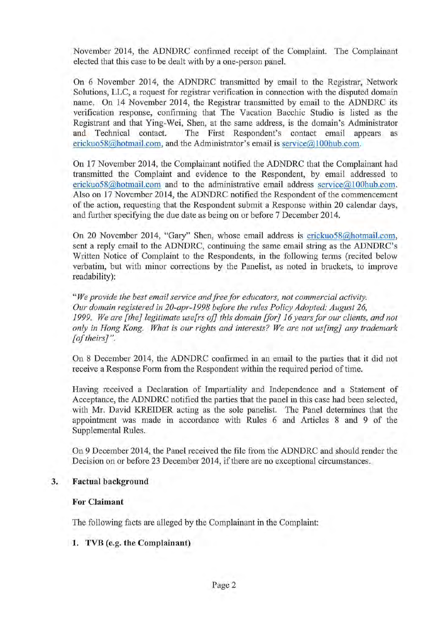November 2014, the ADNDRC confirmed receipt of the Complaint. The Complainant elected that this case to be dealt with by a one-person panel.

On 6 November 2014, the ADNDRC transmitted by email to the Registrar, Network Solutions, LLC, a request for registrar verification in connection with the disputed domain name. On 14 November 2014, the Registrar transmitted by email to the ADNDRC its verification response, confirming that The Vacation Bacchic Studio is listed as the Registrant and that Ying-Wei, Shen, at the same address, is the domain's Administrator and Technical contact. The First Respondent's contact email appears as erickuo58@hotmail.com, and the Administrator's email is service@100hub.com.

On 17 November 2014, the Complainant notified the ADNDRC that the Complainant had transmitted the Complaint and evidence to the Respondent, by email addressed to erickuo58@hotmail.com and to the administrative email address service@100hub.com. Also on 17 November 2014, the ADNDRC notified the Respondent of the commencement of the action, requesting that the Respondent submit a Response within 20 calendar days, and further specifying the due date as being on or before 7 December 2014.

On 20 November 2014, "Gary" Shen, whose email address is erickuo58@hotmail.com. sent a reply email to the ADNDRC, continuing the same email string as the ADNDRC's Written Notice of Complaint to the Respondents, in the following terms (recited below verbatim, but with minor corrections by the Panelist, as noted in brackets, to improve readability):

*"We provide the best email service andfreefor educators, not commercial activity. Our domain registered in 20-apr-1998 before the rules Policy Adopted: August 26,*  1999. We are [the] legitimate use[rs of] this domain [for] 16 years for our clients, and not *only in Hong Kong. What is our rights and interests? We are not us[ing] any trademark [of theirs]* ".

On 8 December 2014, the ADNDRC confirmed in an email to the parties that it did not receive a Response Form from the Respondent within the required period of time.

Having received a Declaration of Impartiality and Independence and a Statement of Acceptance, the ADNDRC notified the parties that the panel in this case had been selected, with Mr. David KREIDER acting as the sole panelist. The Panel determines that the appointment was made in accordance with Rules 6 and Articles 8 and 9 of the Supplemental Rules.

On 9 December 2014, the Panel received the file from the ADNDRC and should render the Decision on or before 23 December 2014, if there are no exceptional circumstances.

#### **3. Factual background**

#### **For Claimant**

The following facts are alleged by the Complainant in the Complaint:

### 1. TVB (e.g. **the Complainant)**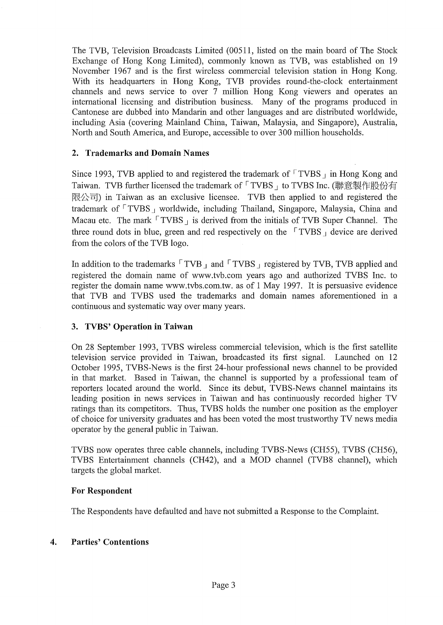The TVB, Television Broadcasts Limited (00511, listed on the main board of The Stock Exchange of Hong Kong Limited), commonly known as TVB, was established on 19 November 1967 and is the first wireless commercial television station in Hong Kong. With its headquarters in Hong Kong, TVB provides round-the-clock entertainment channels and news service to over 7 million Hong Kong viewers and operates an international licensing and distribution business. Many of the programs produced in Cantonese are dubbed into Mandarin and other languages and are distributed worldwide, including Asia (covering Mainland China, Taiwan, Malaysia, and Singapore), Australia, North and South America, and Europe, accessible to over 300 million households.

#### 2. Trademarks and Domain Names

Since 1993, TVB applied to and registered the trademark of  $\ulcorner$  TVBS  $\lrcorner$  in Hong Kong and Taiwan. TVB further licensed the trademark of 「TVBS」 to TVBS Inc. (聯意製作股份有 限公司) in Taiwan as an exclusive licensee. TVB then applied to and registered the trademark of  $\ulcorner$  TVBS  $\vert$  worldwide, including Thailand, Singapore, Malaysia, China and Macau etc. The mark  $\ulcorner$  TVBS  $\lrcorner$  is derived from the initials of TVB Super Channel. The three round dots in blue, green and red respectively on the  $\sqrt{TVBS}$  device are derived from the colors of the TVB logo.

In addition to the trademarks  $\ulcorner$  TVB  $\vert$  and  $\ulcorner$  TVBS  $\vert$  registered by TVB, TVB applied and registered the domain name of www.tvb.com years ago and authorized TVBS Inc. to register the domain name www.tvbs.com.tw. as of 1 May 1997. It is persuasive evidence that TVB and TVBS used the trademarks and domain names aforementioned in a continuous and systematic way over many years.

### 3. TVBS' Operation **in** Taiwan

On 28 September 1993, TVBS wireless commercial television, which is the first satellite television service provided in Taiwan, broadcasted its first signal. Launched on 12 October 1995, TVBS-News is the first 24-hour professional news channel to be provided in that market. Based in Taiwan, the channel is supported by a professional team of reporters located around the world. Since its debut, TVBS-News channel maintains its leading position in news services in Taiwan and has continuously recorded higher TV ratings than its competitors. Thus, TVBS holds the number one position as the employer of choice for university graduates and has been voted the most trustworthy TV news media operator by the general public in Taiwan.

TVBS now operates three cable channels, including TVBS-News (CH55), TVBS (CH56), TVBS Entertainment channels (CH42), and a MOD channel (TVB8 channel), which targets the global market.

### For Respondent

The Respondents have defaulted and have not submitted a Response to the Complaint.

### 4. Parties' Contentions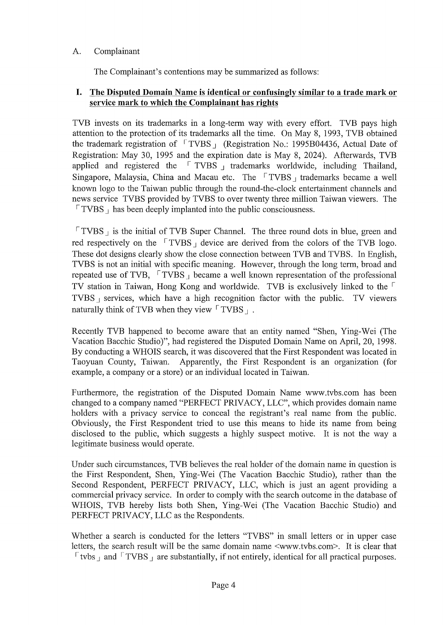# A. Complainant

The Complainant's contentions may be summarized as follows:

### **I. The Disputed Domain Name is identical or confusingly similar to a trade mark or service mark to which the Complainant has rights**

TVB invests on its trademarks in a long-term way with every effort. TVB pays high attention to the protection of its trademarks all the time. On May 8, 1993, TVB obtained the trademark registration of  $\sqrt{T}VBS_1$  (Registration No.: 1995B04436, Actual Date of Registration: May 30, 1995 and the expiration date is May 8, 2024). Afterwards, TVB applied and registered the  $\sqrt{\text{TVBS}}$  trademarks worldwide, including Thailand, Singapore, Malaysia, China and Macau etc. The  $\sqrt{\text{TVBS}}$  trademarks became a well known logo to the Taiwan public through the round-the-clock entertainment channels and news service TVBS provided by TVBS to over twenty three million Taiwan viewers. The  $\lceil$  TVBS  $\rceil$  has been deeply implanted into the public consciousness.

 $\lceil$  TVBS  $\rceil$  is the initial of TVB Super Channel. The three round dots in blue, green and red respectively on the  $\sqrt{TVBS}$  device are derived from the colors of the TVB logo. These dot designs clearly show the close connection between TVB and TVBS. In English, TVBS is not an initial with specific meaning. However, through the long term, broad and repeated use of TVB,  $\sqrt{TVBS}$  became a well known representation of the professional TV station in Taiwan, Hong Kong and worldwide. TVB is exclusively linked to the  $\lceil$ TVBS  $\beta$  services, which have a high recognition factor with the public. TV viewers naturally think of TVB when they view  $\lceil$  TVBS  $\rceil$ .

Recently TVB happened to become aware that an entity named "Shen, Ying-Wei (The Vacation Bacchic Studio)", had registered the Disputed Domain Name on April, 20, 1998. By conducting a WHOIS search, it was discovered that the First Respondent was located in Taoyuan County, Taiwan. Apparently, the First Respondent is an organization (for example, a company or a store) or an individual located in Taiwan.

Furthermore, the registration of the Disputed Domain Name www.tvbs.com has been changed to a company named "PERFECT PRIVACY, LLC", which provides domain name holders with a privacy service to conceal the registrant's real name from the public. Obviously, the First Respondent tried to use this means to hide its name from being disclosed to the public, which suggests a highly suspect motive. It is not the way a legitimate business would operate.

Under such circumstances, TVB believes the real holder of the domain name in question is the First Respondent, Shen, Ying-Wei (The Vacation Bacchic Studio), rather than the Second Respondent, PERFECT PRIVACY, LLC, which is just an agent providing a commercial privacy service. In order to comply with the search outcome in the database of WHOIS, TVB hereby lists both Shen, Ying-Wei (The Vacation Bacchic Studio) and PERFECT PRIVACY, LLC as the Respondents.

Whether a search is conducted for the letters "TVBS" in small letters or in upper case letters, the search result will be the same domain name <www.tvbs.com>. It is clear that  $\lceil$  tvbs  $\lceil$  and  $\lceil$  TVBS  $\lceil$  are substantially, if not entirely, identical for all practical purposes.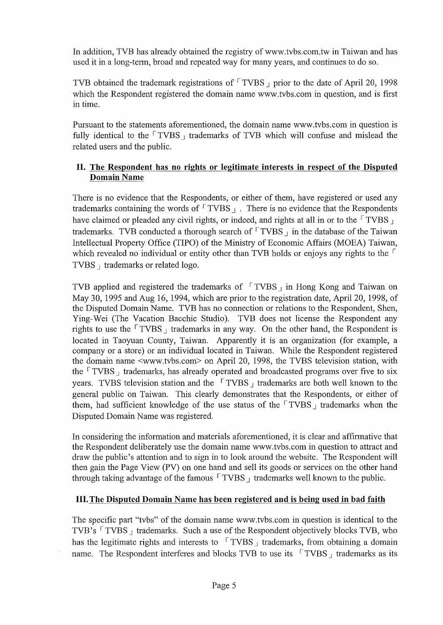In addition, TVB has already obtained the registry of www.tvbs.com.tw in Taiwan and has used it in a long-term, broad and repeated way for many years, and continues to do so.

TVB obtained the trademark registrations of  $\lceil$  TVBS  $\rceil$  prior to the date of April 20, 1998 which the Respondent registered the domain name www.tvbs.com in question, and is first in time.

Pursuant to the statements aforementioned, the domain name www.tvbs.com in question is fully identical to the  $\lceil$  TVBS  $\rceil$  trademarks of TVB which will confuse and mislead the related users and the public.

# **II. The Respondent has no rights or legitimate interests in respect of the Disputed**  Domain Name

There is no evidence that the Respondents, or either of them, have registered or used any trademarks containing the words of  $\ulcorner$  TVBS  $\lrcorner$ . There is no evidence that the Respondents have claimed or pleaded any civil rights, or indeed, and rights at all in or to the  $\lceil$  TVBS  $\rceil$ trademarks. TVB conducted a thorough search of  $\lceil$  TVBS  $\rceil$  in the database of the Taiwan Intellectual Property Office (TIPO) of the Ministry of Economic Affairs (MOEA) Taiwan, which revealed no individual or entity other than TVB holds or enjoys any rights to the  $\lceil$ TVBS  $\parallel$  trademarks or related logo.

TVB applied and registered the trademarks of  $\sqrt{\text{TVBS}}_1$  in Hong Kong and Taiwan on May 30, 1995 and Aug 16, 1994, which are prior to the registration date, April 20, 1998, of the Disputed Domain Name. TVB has no connection or relations to the Respondent, Shen, Ying-Wei (The Vacation Bacchic Studio). TVB does not license the Respondent any rights to use the  $\lceil$  TVBS  $\rfloor$  trademarks in any way. On the other hand, the Respondent is located in Taoyuan County, Taiwan. Apparently it is an organization (for example, a company or a store) or an individual located in Taiwan. While the Respondent registered the domain name <www.tvbs.com> on April 20, 1998, the TVBS television station, with the  $\lceil$  TVBS  $\rceil$  trademarks, has already operated and broadcasted programs over five to six years. TVBS television station and the  $\sqrt{TVBS}$  trademarks are both well known to the general public on Taiwan. This clearly demonstrates that the Respondents, or either of them, had sufficient knowledge of the use status of the  $\lceil$  TVBS  $\rceil$  trademarks when the Disputed Domain Name was registered.

In considering the information and materials aforementioned, it is clear and affirmative that the Respondent deliberately use the domain name www.tvbs.com in question to attract and draw the public's attention and to sign in to look around the website. The Respondent will then gain the Page View (PV) on one hand and sell its goods or services on the other hand through taking advantage of the famous  $\sqrt{TVBS}$  trademarks well known to the public.

# **III. The Disputed Domain Name has been registered and is being used in bad faith**

The specific part "tybs" of the domain name www.tybs.com in question is identical to the TVB's  $\lceil$  TVBS  $\rfloor$  trademarks. Such a use of the Respondent objectively blocks TVB, who has the legitimate rights and interests to  $\sqrt{TVBS}$  trademarks, from obtaining a domain name. The Respondent interferes and blocks TVB to use its  $\sqrt{T}$  TVBS  $\frac{1}{T}$  trademarks as its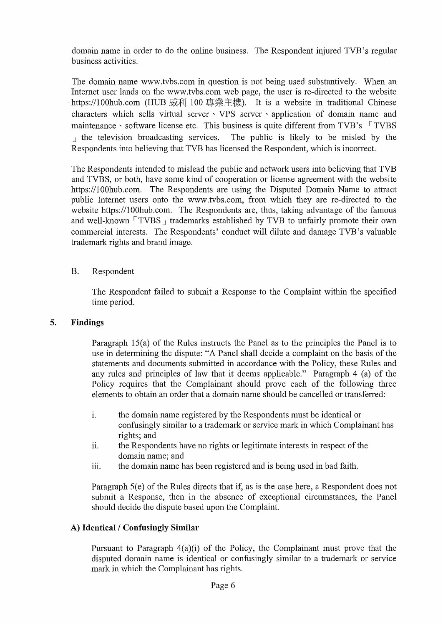domain name in order to do the online business. The Respondent injured TVB's regular business activities.

The domain name www.tvbs.com in question is not being used substantively. When an Internet user lands on the www.tvbs.com web page, the user is re-directed to the website https://100hub.com (HUB 威利 100 專業主機). It is a website in traditional Chinese characters which sells virtual server ' VPS server ' application of domain name and maintenance · software license etc. This business is quite different from TVB's FTVBS  $\mu$  the television broadcasting services. The public is likely to be misled by the Respondents into believing that TVB has licensed the Respondent, which is incorrect.

The Respondents intended to mislead the public and network users into believing that TVB and TVBS, or both, have some kind of cooperation or license agreement with the website https://100hub.com. The Respondents are using the Disputed Domain Name to attract public Internet users onto the www.tvbs.com. from which they are re-directed to the website https://lOOhub.com. The Respondents are, thus, taking advantage of the famous and well-known  $\lceil$  TVBS  $\rceil$  trademarks established by TVB to unfairly promote their own commercial interests. The Respondents' conduct will dilute and damage TVB's valuable trademark rights and brand image.

### B. Respondent

The Respondent failed to submit a Response to the Complaint within the specified time period.

#### **5. Findings**

Paragraph 15(a) of the Rules instructs the Panel as to the principles the Panel is to use in determining the dispute: "A Panel shall decide a complaint on the basis of the statements and documents submitted in accordance with the Policy, these Rules and any rules and principles of law that it deems applicable." Paragraph 4 (a) of the Policy requires that the Complainant should prove each of the following three elements to obtain an order that a domain name should be cancelled or transferred:

- 1. the domain name registered by the Respondents must be identical or confusingly similar to a trademark or service mark in which Complainant has rights; and
- 11. the Respondents have no rights or legitimate interests in respect of the domain name; and
- iii. the domain name has been registered and is being used in bad faith.

Paragraph 5(e) of the Rules directs that if, as is the case here, a Respondent does not submit a Response, then in the absence of exceptional circumstances, the Panel should decide the dispute based upon the Complaint.

### **A) Identical/Confusingly Similar**

Pursuant to Paragraph 4(a)(i) of the Policy, the Complainant must prove that the disputed domain name is identical or confusingly similar to a trademark or service mark in which the Complainant has rights.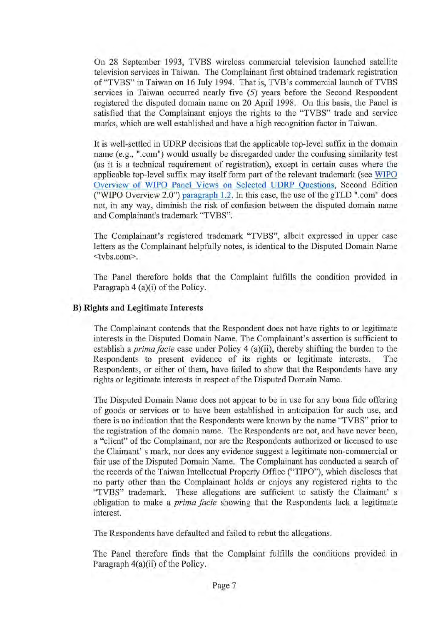On 28 September 1993, TVBS wireless commercial television launched satellite television services in Taiwan. The Complainant first obtained trademark registration of "TVBS" in Taiwan on 16 July 1994. That is, TVB's commercial launch of TVBS services in Taiwan occurred nearly five (5) years before the Second Respondent registered the disputed domain name on 20 April 1998. On this basis, the Panel is satisfied that the Complainant enjoys the rights to the "TVBS" trade and service marks, which are well established and have a high recognition factor in Taiwan.

It is well-settled in UDRP decisions that the applicable top-level suffix in the domain name (e.g., ".com") would usually be disregarded under the confusing similarity test (as it is a technical requirement of registration), except in certain cases where the applicable top-level suffix may itself form part of the relevant trademark (see WIPO Overview of WIPO Panel Views on Selected UDRP Questions, Second Edition ("WIPO Overview 2.0") paragraph 1.2. In this case, the use of the gTLD ".com" does not, in any way, diminish the risk of confusion between the disputed domain name and Complainant's trademark "TVBS".

The Complainant's registered trademark "TVBS", albeit expressed in upper case letters as the Complainant helpfully notes, is identical to the Disputed Domain Name <tvbs.com>.

The Panel therefore holds that the Complaint fulfills the condition provided in Paragraph 4 (a)(i) of the Policy.

#### B) **Rights and Legitimate Interests**

The Complainant contends that the Respondent does not have rights to or legitimate interests in the Disputed Domain Name. The Complainant's assertion is sufficient to establish a *prima facie* case under Policy 4 (a)(ii), thereby shifting the burden to the Respondents to present evidence of its rights or legitimate interests. The Respondents, or either of them, have failed to show that the Respondents have any rights or legitimate interests in respect of the Disputed Domain Name.

The Disputed Domain Name does not appear to be in use for any bona fide offering of goods or services or to have been established in anticipation for such use, and there is no indication that the Respondents were known by the name "TVBS" prior to the registration of the domain name. The Respondents are not, and have never been, a "client" of the Complainant, nor are the Respondents authorized or licensed to use the Claimant' s mark, nor does any evidence suggest a legitimate non-commercial or fair use of the Disputed Domain Name. The Complainant has conducted a search of the records of the Taiwan Intellectual Property Office ("TIPO"), which discloses that no party other than the Complainant holds or enjoys any registered rights to the "TVBS" trademark. These allegations are sufficient to satisfy the Claimant' s obligation to make a *prima facie* showing that the Respondents lack a legitimate interest.

The Respondents have defaulted and failed to rebut the allegations.

The Panel therefore finds that the Complaint fulfills the conditions provided in Paragraph 4(a)(ii) of the Policy.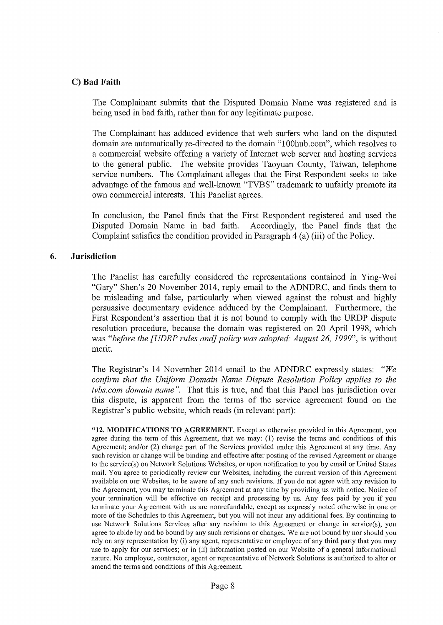#### **C) Bad Faith**

The Complainant submits that the Disputed Domain Name was registered and is being used in bad faith, rather than for any legitimate purpose.

The Complainant has adduced evidence that web surfers who land on the disputed domain are automatically re-directed to the domain "IOOhub.com", which resolves to a commercial website offering a variety of Internet web server and hosting services to the general public. The website provides Taoyuan County, Taiwan, telephone service numbers. The Complainant alleges that the First Respondent seeks to take advantage of the famous and well-known "TVBS" trademark to unfairly promote its own commercial interests. This Panelist agrees.

In conclusion, the Panel finds that the First Respondent registered and used the Disputed Domain Name in bad faith. Accordingly, the Panel finds that the Complaint satisfies the condition provided in Paragraph 4 (a) (iii) of the Policy.

#### **6. Jurisdiction**

The Panelist has carefully considered the representations contained in Ying-Wei "Gary" Shen's 20 November 2014, reply email to the ADNDRC, and finds them to be misleading and false, particularly when viewed against the robust and highly persuasive documentary evidence adduced by the Complainant. Furthermore, the First Respondent's assertion that it is not bound to comply with the URDP dispute resolution procedure, because the domain was registered on 20 April 1998, which was *"before the [UDRP rules and] policy was adopted: August* 26, 1999", is without merit.

The Registrar's 14 November 2014 email to the ADNDRC expressly states: *"We confirm that the Uniform Domain Name Dispute Resolution Policy applies to the tvbs.com domain name".* That this is true, and that this Panel has jurisdiction over this dispute, is apparent from the terms of the service agreement found on the Registrar's public website, which reads (in relevant part):

"12. **MODIFICATIONS TO** AGREEMENT. Except as otherwise provided in this Agreement, you agree during the term of this Agreement, that we may: (1) revise the terms and conditions of this Agreement; and/or (2) change part of the Services provided under this Agreement at any time. Any such revision or change will be binding and effective after posting of the revised Agreement or change to the service(s) on Network Solutions Websites, or upon notification to you by email or United States mail. You agree to periodically review our Websites, including the current version of this Agreement available on our Websites, to be aware of any such revisions. If you do not agree with any revision to the Agreement, you may terminate this Agreement at any time by providing us with notice. Notice of your tennination will be effective on receipt and processing by us. Any fees paid by you if you terminate your Agreement with us are nonrefundable, except as expressly noted otherwise in one or more of the Schedules to this Agreement, but you will not incur any additional fees. By continuing to use Network Solutions Services after any revision to this Agreement or change in service(s), you agree to abide by and be bound by any such revisions or changes. We are not bound by nor should you rely on any representation by (i) any agent, representative or employee of any third party that you may use to apply for our services; or in (ii) information posted on our Website of a general informational nature. No employee, contractor, agent or representative of Network Solutions is authorized to alter or amend the terms and conditions of this Agreement.